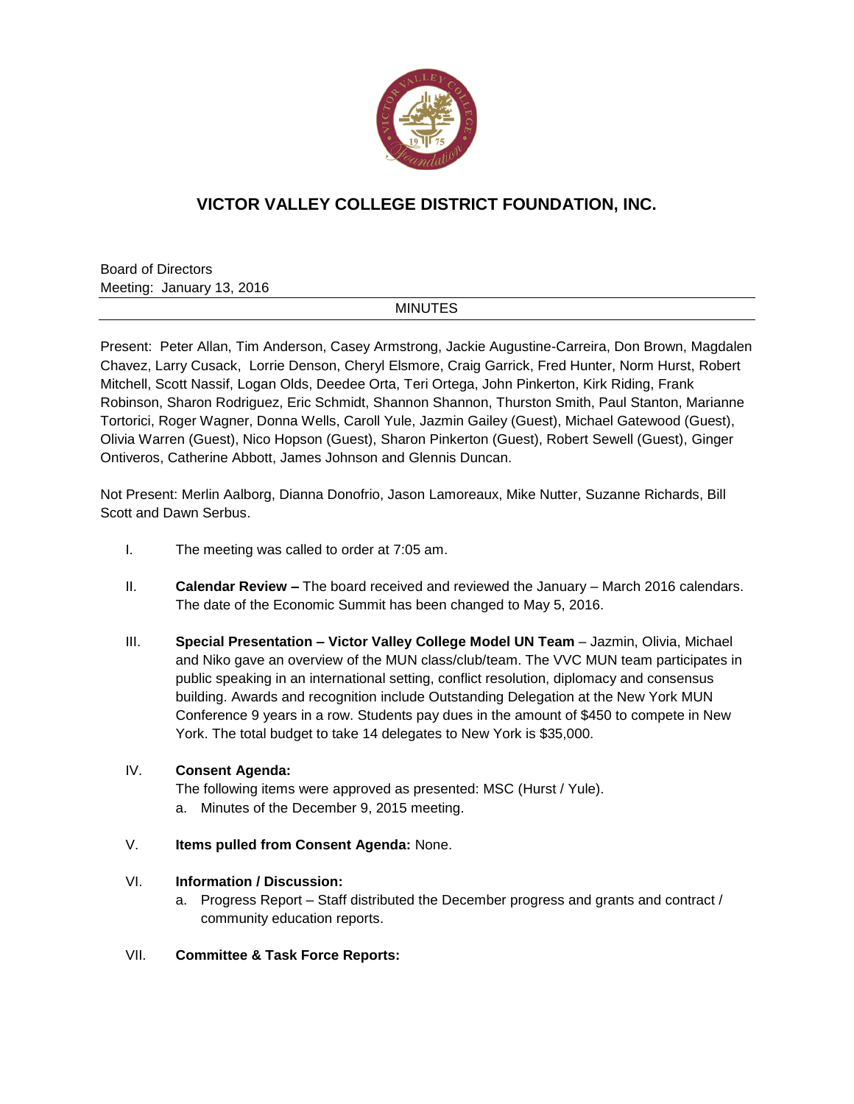

## **VICTOR VALLEY COLLEGE DISTRICT FOUNDATION, INC.**

Board of Directors Meeting: January 13, 2016

## **MINUTES**

Present: Peter Allan, Tim Anderson, Casey Armstrong, Jackie Augustine-Carreira, Don Brown, Magdalen Chavez, Larry Cusack, Lorrie Denson, Cheryl Elsmore, Craig Garrick, Fred Hunter, Norm Hurst, Robert Mitchell, Scott Nassif, Logan Olds, Deedee Orta, Teri Ortega, John Pinkerton, Kirk Riding, Frank Robinson, Sharon Rodriguez, Eric Schmidt, Shannon Shannon, Thurston Smith, Paul Stanton, Marianne Tortorici, Roger Wagner, Donna Wells, Caroll Yule, Jazmin Gailey (Guest), Michael Gatewood (Guest), Olivia Warren (Guest), Nico Hopson (Guest), Sharon Pinkerton (Guest), Robert Sewell (Guest), Ginger Ontiveros, Catherine Abbott, James Johnson and Glennis Duncan.

Not Present: Merlin Aalborg, Dianna Donofrio, Jason Lamoreaux, Mike Nutter, Suzanne Richards, Bill Scott and Dawn Serbus.

- I. The meeting was called to order at 7:05 am.
- II. **Calendar Review –** The board received and reviewed the January March 2016 calendars. The date of the Economic Summit has been changed to May 5, 2016.
- III. **Special Presentation – Victor Valley College Model UN Team** Jazmin, Olivia, Michael and Niko gave an overview of the MUN class/club/team. The VVC MUN team participates in public speaking in an international setting, conflict resolution, diplomacy and consensus building. Awards and recognition include Outstanding Delegation at the New York MUN Conference 9 years in a row. Students pay dues in the amount of \$450 to compete in New York. The total budget to take 14 delegates to New York is \$35,000.

## IV. **Consent Agenda:**

The following items were approved as presented: MSC (Hurst / Yule). a. Minutes of the December 9, 2015 meeting.

V. **Items pulled from Consent Agenda:** None.

## VI. **Information / Discussion:**

- a. Progress Report Staff distributed the December progress and grants and contract / community education reports.
- VII. **Committee & Task Force Reports:**